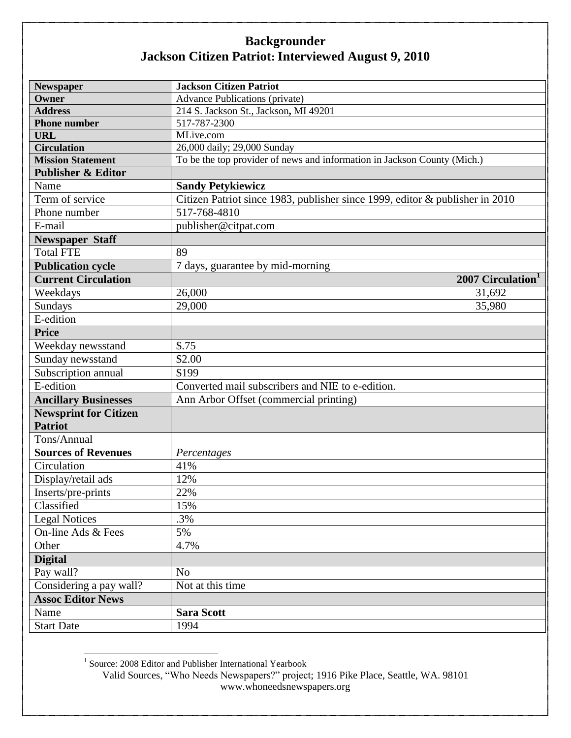| <b>Newspaper</b>              | <b>Jackson Citizen Patriot</b>                                               |
|-------------------------------|------------------------------------------------------------------------------|
| Owner                         | <b>Advance Publications (private)</b>                                        |
| <b>Address</b>                | 214 S. Jackson St., Jackson, MI 49201                                        |
| <b>Phone number</b>           | 517-787-2300                                                                 |
| <b>URL</b>                    | MLive.com                                                                    |
| <b>Circulation</b>            | 26,000 daily; 29,000 Sunday                                                  |
| <b>Mission Statement</b>      | To be the top provider of news and information in Jackson County (Mich.)     |
| <b>Publisher &amp; Editor</b> |                                                                              |
| Name                          | <b>Sandy Petykiewicz</b>                                                     |
| Term of service               | Citizen Patriot since 1983, publisher since 1999, editor & publisher in 2010 |
| Phone number                  | 517-768-4810                                                                 |
| E-mail                        | publisher@citpat.com                                                         |
| <b>Newspaper Staff</b>        |                                                                              |
| <b>Total FTE</b>              | 89                                                                           |
| <b>Publication cycle</b>      | 7 days, guarantee by mid-morning                                             |
| <b>Current Circulation</b>    | 2007 Circulation <sup>1</sup>                                                |
| Weekdays                      | 26,000<br>31,692                                                             |
| Sundays                       | 29,000<br>35,980                                                             |
| E-edition                     |                                                                              |
| <b>Price</b>                  |                                                                              |
| Weekday newsstand             | \$.75                                                                        |
| Sunday newsstand              | \$2.00                                                                       |
| Subscription annual           | \$199                                                                        |
| E-edition                     | Converted mail subscribers and NIE to e-edition.                             |
| <b>Ancillary Businesses</b>   | Ann Arbor Offset (commercial printing)                                       |
| <b>Newsprint for Citizen</b>  |                                                                              |
| <b>Patriot</b>                |                                                                              |
| Tons/Annual                   |                                                                              |
| <b>Sources of Revenues</b>    | Percentages                                                                  |
| Circulation                   | 41%                                                                          |
| Display/retail ads            | 12%                                                                          |
| Inserts/pre-prints            | 22%                                                                          |
| Classified                    | 15%                                                                          |
| <b>Legal Notices</b>          | .3%                                                                          |
| On-line Ads & Fees            | 5%                                                                           |
| Other                         | 4.7%                                                                         |
| <b>Digital</b>                |                                                                              |
| Pay wall?                     | N <sub>o</sub>                                                               |
| Considering a pay wall?       | Not at this time                                                             |
| <b>Assoc Editor News</b>      |                                                                              |
| Name                          | <b>Sara Scott</b>                                                            |
| <b>Start Date</b>             | 1994                                                                         |

Valid Sources, "Who Needs Newspapers?" project; 1916 Pike Place, Seattle, WA. 98101 www.whoneedsnewspapers.org 1 Source: 2008 Editor and Publisher International Yearbook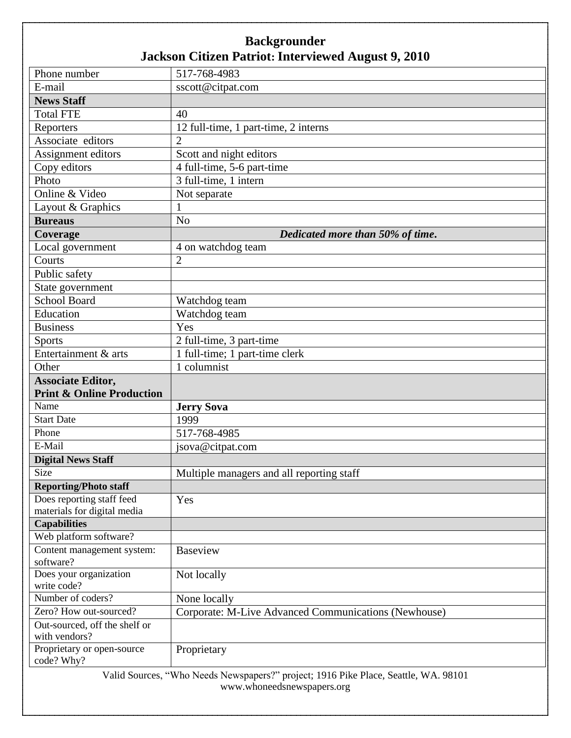| Phone number                            | 517-768-4983                                                                        |  |  |
|-----------------------------------------|-------------------------------------------------------------------------------------|--|--|
| E-mail                                  | sscott@citpat.com                                                                   |  |  |
| <b>News Staff</b>                       |                                                                                     |  |  |
| <b>Total FTE</b>                        | 40                                                                                  |  |  |
| Reporters                               | 12 full-time, 1 part-time, 2 interns                                                |  |  |
| Associate editors                       | $\overline{2}$                                                                      |  |  |
| Assignment editors                      | Scott and night editors                                                             |  |  |
| Copy editors                            | 4 full-time, 5-6 part-time                                                          |  |  |
| Photo                                   | 3 full-time, 1 intern                                                               |  |  |
| Online & Video                          | Not separate                                                                        |  |  |
| Layout & Graphics                       |                                                                                     |  |  |
| <b>Bureaus</b>                          | N <sub>o</sub>                                                                      |  |  |
| Coverage                                | Dedicated more than 50% of time.                                                    |  |  |
| Local government                        | 4 on watchdog team                                                                  |  |  |
| Courts                                  | $\overline{2}$                                                                      |  |  |
| Public safety                           |                                                                                     |  |  |
| State government                        |                                                                                     |  |  |
| <b>School Board</b>                     | Watchdog team                                                                       |  |  |
| Education                               | Watchdog team                                                                       |  |  |
| <b>Business</b>                         | Yes                                                                                 |  |  |
| Sports                                  | 2 full-time, 3 part-time                                                            |  |  |
| Entertainment & arts                    | 1 full-time; 1 part-time clerk                                                      |  |  |
| Other                                   | 1 columnist                                                                         |  |  |
| <b>Associate Editor,</b>                |                                                                                     |  |  |
| <b>Print &amp; Online Production</b>    |                                                                                     |  |  |
| Name                                    | <b>Jerry Sova</b>                                                                   |  |  |
| <b>Start Date</b>                       | 1999                                                                                |  |  |
| Phone                                   | 517-768-4985                                                                        |  |  |
| E-Mail                                  | jsova@citpat.com                                                                    |  |  |
| <b>Digital News Staff</b>               |                                                                                     |  |  |
| Size                                    | Multiple managers and all reporting staff                                           |  |  |
| <b>Reporting/Photo staff</b>            |                                                                                     |  |  |
| Does reporting staff feed               | Yes                                                                                 |  |  |
| materials for digital media             |                                                                                     |  |  |
| <b>Capabilities</b>                     |                                                                                     |  |  |
| Web platform software?                  |                                                                                     |  |  |
| Content management system:<br>software? | <b>Baseview</b>                                                                     |  |  |
| Does your organization<br>write code?   | Not locally                                                                         |  |  |
| Number of coders?                       | None locally                                                                        |  |  |
| Zero? How out-sourced?                  | Corporate: M-Live Advanced Communications (Newhouse)                                |  |  |
| Out-sourced, off the shelf or           |                                                                                     |  |  |
| with vendors?                           |                                                                                     |  |  |
| Proprietary or open-source              | Proprietary                                                                         |  |  |
| code? Why?                              |                                                                                     |  |  |
|                                         | Valid Sources, "Who Needs Newspapers?" project; 1916 Pike Place, Seattle, WA. 98101 |  |  |
| www.whoneedsnewspapers.org              |                                                                                     |  |  |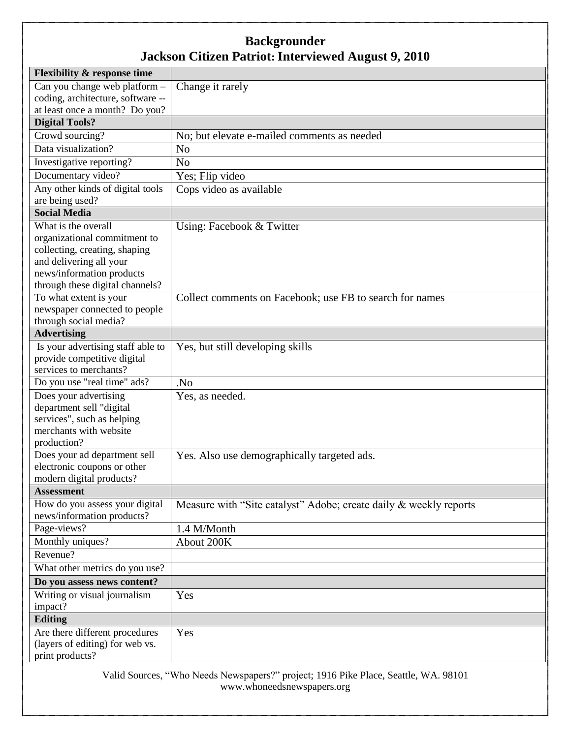| <b>Flexibility &amp; response time</b>                       |                                                                   |
|--------------------------------------------------------------|-------------------------------------------------------------------|
| Can you change web platform -                                | Change it rarely                                                  |
| coding, architecture, software --                            |                                                                   |
| at least once a month? Do you?                               |                                                                   |
| <b>Digital Tools?</b>                                        |                                                                   |
| Crowd sourcing?                                              | No; but elevate e-mailed comments as needed                       |
| Data visualization?                                          | N <sub>o</sub>                                                    |
| Investigative reporting?                                     | N <sub>o</sub>                                                    |
| Documentary video?                                           | Yes; Flip video                                                   |
| Any other kinds of digital tools                             | Cops video as available                                           |
| are being used?                                              |                                                                   |
| <b>Social Media</b>                                          |                                                                   |
| What is the overall                                          | Using: Facebook & Twitter                                         |
| organizational commitment to                                 |                                                                   |
| collecting, creating, shaping                                |                                                                   |
| and delivering all your                                      |                                                                   |
| news/information products<br>through these digital channels? |                                                                   |
| To what extent is your                                       | Collect comments on Facebook; use FB to search for names          |
| newspaper connected to people                                |                                                                   |
| through social media?                                        |                                                                   |
| <b>Advertising</b>                                           |                                                                   |
| Is your advertising staff able to                            | Yes, but still developing skills                                  |
| provide competitive digital                                  |                                                                   |
| services to merchants?                                       |                                                                   |
| Do you use "real time" ads?                                  | .No                                                               |
| Does your advertising                                        | Yes, as needed.                                                   |
| department sell "digital                                     |                                                                   |
| services", such as helping                                   |                                                                   |
| merchants with website                                       |                                                                   |
| production?                                                  |                                                                   |
| Does your ad department sell                                 | Yes. Also use demographically targeted ads.                       |
| electronic coupons or other                                  |                                                                   |
| modern digital products?                                     |                                                                   |
| <b>Assessment</b>                                            |                                                                   |
| How do you assess your digital<br>news/information products? | Measure with "Site catalyst" Adobe; create daily & weekly reports |
| Page-views?                                                  | 1.4 M/Month                                                       |
| Monthly uniques?                                             | About 200K                                                        |
| Revenue?                                                     |                                                                   |
| What other metrics do you use?                               |                                                                   |
| Do you assess news content?                                  |                                                                   |
| Writing or visual journalism<br>impact?                      | Yes                                                               |
| <b>Editing</b>                                               |                                                                   |
| Are there different procedures                               | Yes                                                               |
| (layers of editing) for web vs.                              |                                                                   |
| print products?                                              |                                                                   |
|                                                              |                                                                   |

Valid Sources, "Who Needs Newspapers?" project; 1916 Pike Place, Seattle, WA. 98101 www.whoneedsnewspapers.org